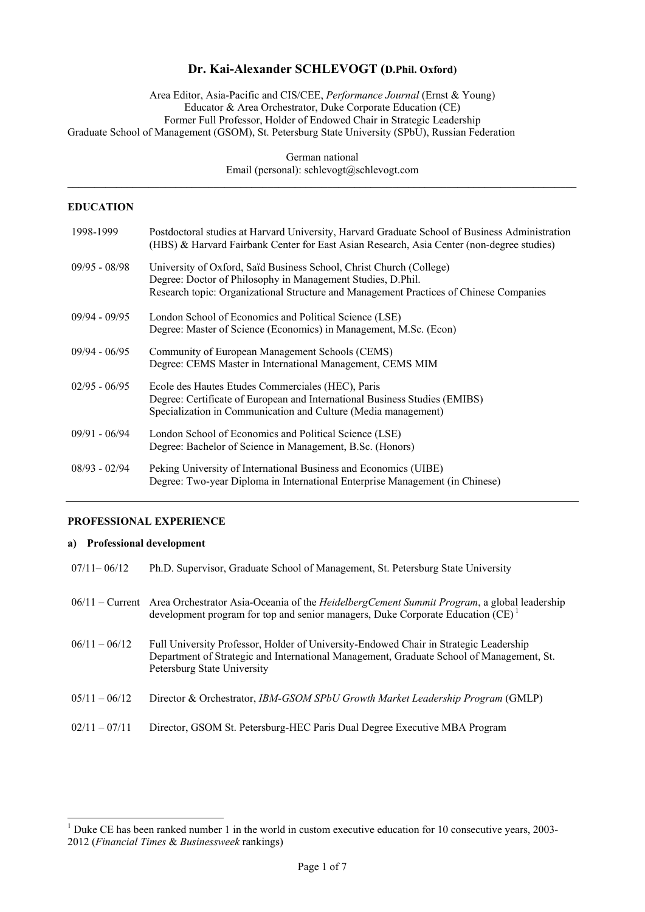# **Dr. Kai-Alexander SCHLEVOGT (D.Phil. Oxford)**

Area Editor, Asia-Pacific and CIS/CEE, *Performance Journal* (Ernst & Young) Educator & Area Orchestrator, Duke Corporate Education (CE) Former Full Professor, Holder of Endowed Chair in Strategic Leadership Graduate School of Management (GSOM), St. Petersburg State University (SPbU), Russian Federation

German national Email (personal): schlevogt@schlevogt.com  $\mathcal{L}_\mathcal{L} = \{ \mathcal{L}_\mathcal{L} = \{ \mathcal{L}_\mathcal{L} = \{ \mathcal{L}_\mathcal{L} = \{ \mathcal{L}_\mathcal{L} = \{ \mathcal{L}_\mathcal{L} = \{ \mathcal{L}_\mathcal{L} = \{ \mathcal{L}_\mathcal{L} = \{ \mathcal{L}_\mathcal{L} = \{ \mathcal{L}_\mathcal{L} = \{ \mathcal{L}_\mathcal{L} = \{ \mathcal{L}_\mathcal{L} = \{ \mathcal{L}_\mathcal{L} = \{ \mathcal{L}_\mathcal{L} = \{ \mathcal{L}_\mathcal{$ 

## **EDUCATION**

| 1998-1999       | Postdoctoral studies at Harvard University, Harvard Graduate School of Business Administration<br>(HBS) & Harvard Fairbank Center for East Asian Research, Asia Center (non-degree studies)                                  |
|-----------------|------------------------------------------------------------------------------------------------------------------------------------------------------------------------------------------------------------------------------|
| $09/95 - 08/98$ | University of Oxford, Saïd Business School, Christ Church (College)<br>Degree: Doctor of Philosophy in Management Studies, D.Phil.<br>Research topic: Organizational Structure and Management Practices of Chinese Companies |
| $09/94 - 09/95$ | London School of Economics and Political Science (LSE)<br>Degree: Master of Science (Economics) in Management, M.Sc. (Econ)                                                                                                  |
| $09/94 - 06/95$ | Community of European Management Schools (CEMS)<br>Degree: CEMS Master in International Management, CEMS MIM                                                                                                                 |
| $02/95 - 06/95$ | Ecole des Hautes Etudes Commerciales (HEC), Paris<br>Degree: Certificate of European and International Business Studies (EMIBS)<br>Specialization in Communication and Culture (Media management)                            |
| $09/91 - 06/94$ | London School of Economics and Political Science (LSE)<br>Degree: Bachelor of Science in Management, B.Sc. (Honors)                                                                                                          |
| $08/93 - 02/94$ | Peking University of International Business and Economics (UIBE)<br>Degree: Two-year Diploma in International Enterprise Management (in Chinese)                                                                             |

# **PROFESSIONAL EXPERIENCE**

#### **a) Professional development**

 $\overline{\phantom{a}}$ 

| $07/11 - 06/12$ | Ph.D. Supervisor, Graduate School of Management, St. Petersburg State University                                                                                                                                 |
|-----------------|------------------------------------------------------------------------------------------------------------------------------------------------------------------------------------------------------------------|
|                 | 06/11 – Current Area Orchestrator Asia-Oceania of the HeidelbergCement Summit Program, a global leadership<br>development program for top and senior managers, Duke Corporate Education (CE) <sup>1</sup>        |
| $06/11 - 06/12$ | Full University Professor, Holder of University-Endowed Chair in Strategic Leadership<br>Department of Strategic and International Management, Graduate School of Management, St.<br>Petersburg State University |
| $05/11 - 06/12$ | Director & Orchestrator, IBM-GSOM SPbU Growth Market Leadership Program (GMLP)                                                                                                                                   |
| $02/11 - 07/11$ | Director, GSOM St. Petersburg-HEC Paris Dual Degree Executive MBA Program                                                                                                                                        |

<sup>&</sup>lt;sup>1</sup> Duke CE has been ranked number 1 in the world in custom executive education for 10 consecutive years, 2003-2012 (*Financial Times* & *Businessweek* rankings)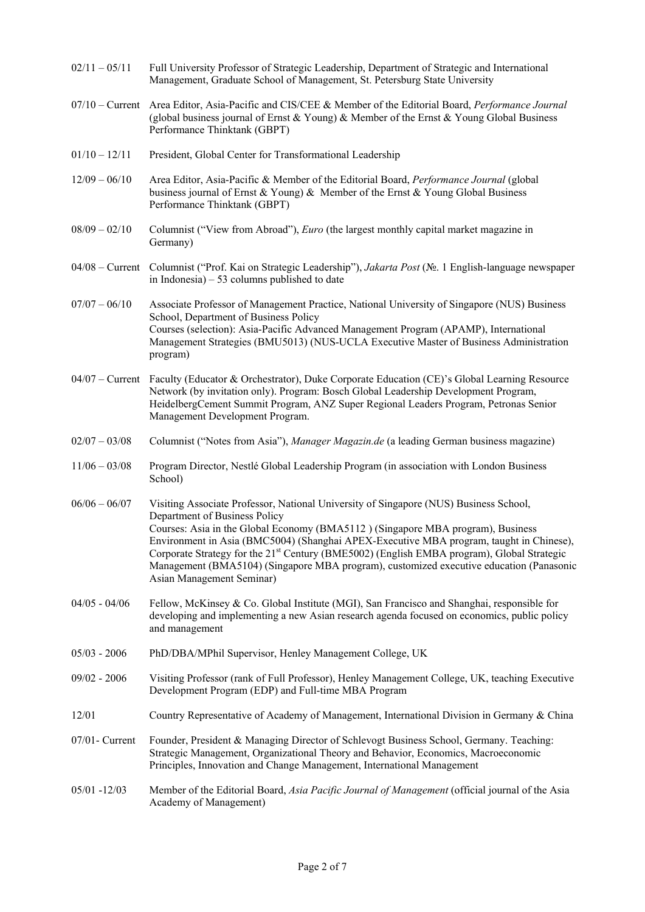| $02/11 - 05/11$   | Full University Professor of Strategic Leadership, Department of Strategic and International<br>Management, Graduate School of Management, St. Petersburg State University                                                                                                                                                                                                                                                                                                                                                             |
|-------------------|----------------------------------------------------------------------------------------------------------------------------------------------------------------------------------------------------------------------------------------------------------------------------------------------------------------------------------------------------------------------------------------------------------------------------------------------------------------------------------------------------------------------------------------|
|                   | 07/10 – Current Area Editor, Asia-Pacific and CIS/CEE & Member of the Editorial Board, Performance Journal<br>(global business journal of Ernst & Young) & Member of the Ernst & Young Global Business<br>Performance Thinktank (GBPT)                                                                                                                                                                                                                                                                                                 |
| $01/10 - 12/11$   | President, Global Center for Transformational Leadership                                                                                                                                                                                                                                                                                                                                                                                                                                                                               |
| $12/09 - 06/10$   | Area Editor, Asia-Pacific & Member of the Editorial Board, Performance Journal (global<br>business journal of Ernst & Young) & Member of the Ernst & Young Global Business<br>Performance Thinktank (GBPT)                                                                                                                                                                                                                                                                                                                             |
| $08/09 - 02/10$   | Columnist ("View from Abroad"), Euro (the largest monthly capital market magazine in<br>Germany)                                                                                                                                                                                                                                                                                                                                                                                                                                       |
| $04/08$ – Current | Columnist ("Prof. Kai on Strategic Leadership"), Jakarta Post (No. 1 English-language newspaper<br>in Indonesia) $-53$ columns published to date                                                                                                                                                                                                                                                                                                                                                                                       |
| $07/07 - 06/10$   | Associate Professor of Management Practice, National University of Singapore (NUS) Business<br>School, Department of Business Policy<br>Courses (selection): Asia-Pacific Advanced Management Program (APAMP), International<br>Management Strategies (BMU5013) (NUS-UCLA Executive Master of Business Administration<br>program)                                                                                                                                                                                                      |
|                   | 04/07 – Current Faculty (Educator & Orchestrator), Duke Corporate Education (CE)'s Global Learning Resource<br>Network (by invitation only). Program: Bosch Global Leadership Development Program,<br>HeidelbergCement Summit Program, ANZ Super Regional Leaders Program, Petronas Senior<br>Management Development Program.                                                                                                                                                                                                          |
| $02/07 - 03/08$   | Columnist ("Notes from Asia"), Manager Magazin.de (a leading German business magazine)                                                                                                                                                                                                                                                                                                                                                                                                                                                 |
| $11/06 - 03/08$   | Program Director, Nestlé Global Leadership Program (in association with London Business<br>School)                                                                                                                                                                                                                                                                                                                                                                                                                                     |
| $06/06 - 06/07$   | Visiting Associate Professor, National University of Singapore (NUS) Business School,<br>Department of Business Policy<br>Courses: Asia in the Global Economy (BMA5112) (Singapore MBA program), Business<br>Environment in Asia (BMC5004) (Shanghai APEX-Executive MBA program, taught in Chinese),<br>Corporate Strategy for the 21 <sup>st</sup> Century (BME5002) (English EMBA program), Global Strategic<br>Management (BMA5104) (Singapore MBA program), customized executive education (Panasonic<br>Asian Management Seminar) |
| $04/05 - 04/06$   | Fellow, McKinsey & Co. Global Institute (MGI), San Francisco and Shanghai, responsible for<br>developing and implementing a new Asian research agenda focused on economics, public policy<br>and management                                                                                                                                                                                                                                                                                                                            |
| $05/03 - 2006$    | PhD/DBA/MPhil Supervisor, Henley Management College, UK                                                                                                                                                                                                                                                                                                                                                                                                                                                                                |
| $09/02 - 2006$    | Visiting Professor (rank of Full Professor), Henley Management College, UK, teaching Executive<br>Development Program (EDP) and Full-time MBA Program                                                                                                                                                                                                                                                                                                                                                                                  |
| 12/01             | Country Representative of Academy of Management, International Division in Germany & China                                                                                                                                                                                                                                                                                                                                                                                                                                             |
| $07/01$ - Current | Founder, President & Managing Director of Schlevogt Business School, Germany. Teaching:<br>Strategic Management, Organizational Theory and Behavior, Economics, Macroeconomic<br>Principles, Innovation and Change Management, International Management                                                                                                                                                                                                                                                                                |
| $05/01 - 12/03$   | Member of the Editorial Board, Asia Pacific Journal of Management (official journal of the Asia<br>Academy of Management)                                                                                                                                                                                                                                                                                                                                                                                                              |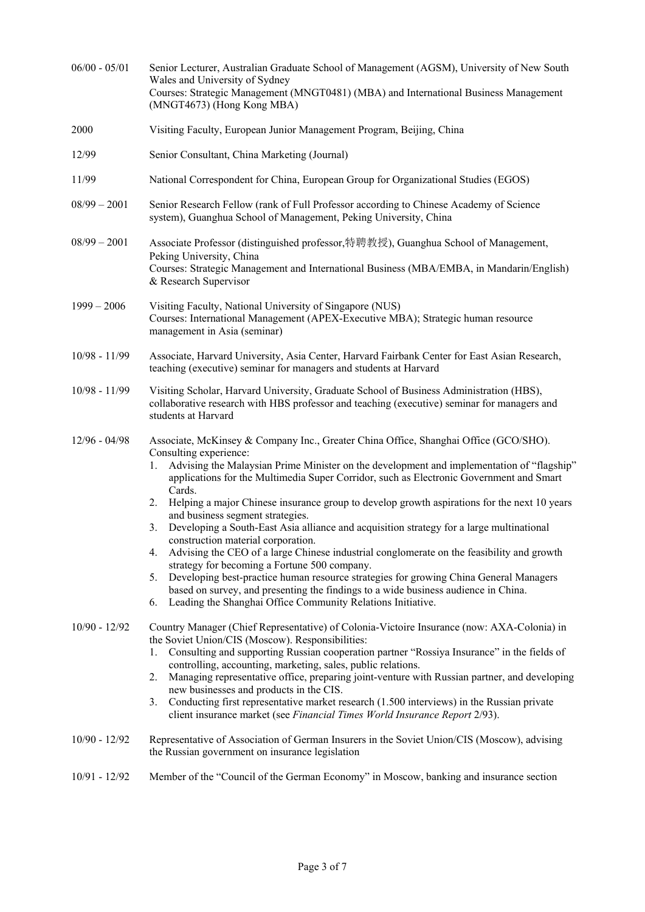| $06/00 - 05/01$ | Senior Lecturer, Australian Graduate School of Management (AGSM), University of New South<br>Wales and University of Sydney<br>Courses: Strategic Management (MNGT0481) (MBA) and International Business Management<br>(MNGT4673) (Hong Kong MBA)                                                                                                                                                                                                                                                                                                                                                                                                                                                                                                                                                                                                                                                                                                                                                                    |
|-----------------|----------------------------------------------------------------------------------------------------------------------------------------------------------------------------------------------------------------------------------------------------------------------------------------------------------------------------------------------------------------------------------------------------------------------------------------------------------------------------------------------------------------------------------------------------------------------------------------------------------------------------------------------------------------------------------------------------------------------------------------------------------------------------------------------------------------------------------------------------------------------------------------------------------------------------------------------------------------------------------------------------------------------|
| 2000            | Visiting Faculty, European Junior Management Program, Beijing, China                                                                                                                                                                                                                                                                                                                                                                                                                                                                                                                                                                                                                                                                                                                                                                                                                                                                                                                                                 |
| 12/99           | Senior Consultant, China Marketing (Journal)                                                                                                                                                                                                                                                                                                                                                                                                                                                                                                                                                                                                                                                                                                                                                                                                                                                                                                                                                                         |
| 11/99           | National Correspondent for China, European Group for Organizational Studies (EGOS)                                                                                                                                                                                                                                                                                                                                                                                                                                                                                                                                                                                                                                                                                                                                                                                                                                                                                                                                   |
| $08/99 - 2001$  | Senior Research Fellow (rank of Full Professor according to Chinese Academy of Science<br>system), Guanghua School of Management, Peking University, China                                                                                                                                                                                                                                                                                                                                                                                                                                                                                                                                                                                                                                                                                                                                                                                                                                                           |
| $08/99 - 2001$  | Associate Professor (distinguished professor,特聘教授), Guanghua School of Management,<br>Peking University, China<br>Courses: Strategic Management and International Business (MBA/EMBA, in Mandarin/English)<br>& Research Supervisor                                                                                                                                                                                                                                                                                                                                                                                                                                                                                                                                                                                                                                                                                                                                                                                  |
| $1999 - 2006$   | Visiting Faculty, National University of Singapore (NUS)<br>Courses: International Management (APEX-Executive MBA); Strategic human resource<br>management in Asia (seminar)                                                                                                                                                                                                                                                                                                                                                                                                                                                                                                                                                                                                                                                                                                                                                                                                                                         |
| $10/98 - 11/99$ | Associate, Harvard University, Asia Center, Harvard Fairbank Center for East Asian Research,<br>teaching (executive) seminar for managers and students at Harvard                                                                                                                                                                                                                                                                                                                                                                                                                                                                                                                                                                                                                                                                                                                                                                                                                                                    |
| 10/98 - 11/99   | Visiting Scholar, Harvard University, Graduate School of Business Administration (HBS),<br>collaborative research with HBS professor and teaching (executive) seminar for managers and<br>students at Harvard                                                                                                                                                                                                                                                                                                                                                                                                                                                                                                                                                                                                                                                                                                                                                                                                        |
| $12/96 - 04/98$ | Associate, McKinsey & Company Inc., Greater China Office, Shanghai Office (GCO/SHO).<br>Consulting experience:<br>Advising the Malaysian Prime Minister on the development and implementation of "flagship"<br>1.<br>applications for the Multimedia Super Corridor, such as Electronic Government and Smart<br>Cards.<br>Helping a major Chinese insurance group to develop growth aspirations for the next 10 years<br>2.<br>and business segment strategies.<br>Developing a South-East Asia alliance and acquisition strategy for a large multinational<br>3.<br>construction material corporation.<br>Advising the CEO of a large Chinese industrial conglomerate on the feasibility and growth<br>4.<br>strategy for becoming a Fortune 500 company.<br>Developing best-practice human resource strategies for growing China General Managers<br>5.<br>based on survey, and presenting the findings to a wide business audience in China.<br>Leading the Shanghai Office Community Relations Initiative.<br>6. |
| $10/90 - 12/92$ | Country Manager (Chief Representative) of Colonia-Victoire Insurance (now: AXA-Colonia) in<br>the Soviet Union/CIS (Moscow). Responsibilities:<br>Consulting and supporting Russian cooperation partner "Rossiya Insurance" in the fields of<br>1.<br>controlling, accounting, marketing, sales, public relations.<br>Managing representative office, preparing joint-venture with Russian partner, and developing<br>2.<br>new businesses and products in the CIS.<br>Conducting first representative market research (1.500 interviews) in the Russian private<br>3.<br>client insurance market (see Financial Times World Insurance Report 2/93).                                                                                                                                                                                                                                                                                                                                                                 |
| $10/90 - 12/92$ | Representative of Association of German Insurers in the Soviet Union/CIS (Moscow), advising<br>the Russian government on insurance legislation                                                                                                                                                                                                                                                                                                                                                                                                                                                                                                                                                                                                                                                                                                                                                                                                                                                                       |
| $10/91 - 12/92$ | Member of the "Council of the German Economy" in Moscow, banking and insurance section                                                                                                                                                                                                                                                                                                                                                                                                                                                                                                                                                                                                                                                                                                                                                                                                                                                                                                                               |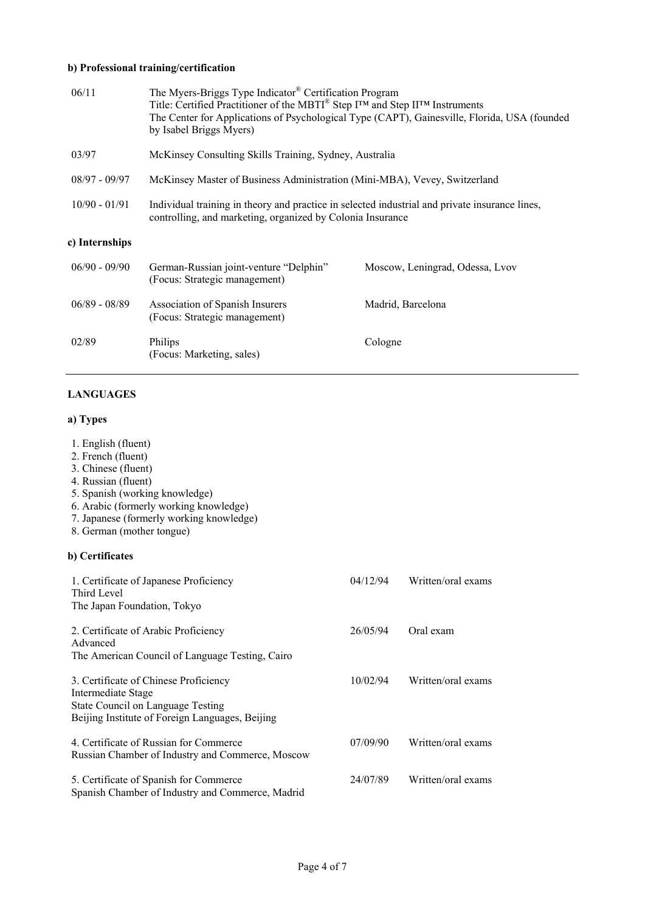# **b) Professional training/certification**

| 06/11           | The Myers-Briggs Type Indicator® Certification Program<br>Title: Certified Practitioner of the MBTI <sup>®</sup> Step I <sup>™</sup> and Step II™ Instruments<br>by Isabel Briggs Myers) | The Center for Applications of Psychological Type (CAPT), Gainesville, Florida, USA (founded |
|-----------------|------------------------------------------------------------------------------------------------------------------------------------------------------------------------------------------|----------------------------------------------------------------------------------------------|
| 03/97           | McKinsey Consulting Skills Training, Sydney, Australia                                                                                                                                   |                                                                                              |
| $08/97 - 09/97$ | McKinsey Master of Business Administration (Mini-MBA), Vevey, Switzerland                                                                                                                |                                                                                              |
| $10/90 - 01/91$ | Individual training in theory and practice in selected industrial and private insurance lines,<br>controlling, and marketing, organized by Colonia Insurance                             |                                                                                              |
| c) Internships  |                                                                                                                                                                                          |                                                                                              |
| $06/90 - 09/90$ | German-Russian joint-venture "Delphin"<br>(Focus: Strategic management)                                                                                                                  | Moscow, Leningrad, Odessa, Lvov                                                              |
|                 |                                                                                                                                                                                          |                                                                                              |
| $06/89 - 08/89$ | Association of Spanish Insurers<br>(Focus: Strategic management)                                                                                                                         | Madrid, Barcelona                                                                            |

# **LANGUAGES**

# **a) Types**

| 1. English (fluent)<br>2. French (fluent)<br>3. Chinese (fluent)<br>4. Russian (fluent)<br>5. Spanish (working knowledge)<br>6. Arabic (formerly working knowledge)<br>7. Japanese (formerly working knowledge)<br>8. German (mother tongue) |          |                    |
|----------------------------------------------------------------------------------------------------------------------------------------------------------------------------------------------------------------------------------------------|----------|--------------------|
| b) Certificates                                                                                                                                                                                                                              |          |                    |
| 1. Certificate of Japanese Proficiency<br>Third Level<br>The Japan Foundation, Tokyo                                                                                                                                                         | 04/12/94 | Written/oral exams |
| 2. Certificate of Arabic Proficiency<br>Advanced<br>The American Council of Language Testing, Cairo                                                                                                                                          | 26/05/94 | Oral exam          |
| 3. Certificate of Chinese Proficiency<br>Intermediate Stage<br>State Council on Language Testing<br>Beijing Institute of Foreign Languages, Beijing                                                                                          | 10/02/94 | Written/oral exams |
| 4. Certificate of Russian for Commerce<br>Russian Chamber of Industry and Commerce, Moscow                                                                                                                                                   | 07/09/90 | Written/oral exams |
| 5. Certificate of Spanish for Commerce<br>Spanish Chamber of Industry and Commerce, Madrid                                                                                                                                                   | 24/07/89 | Written/oral exams |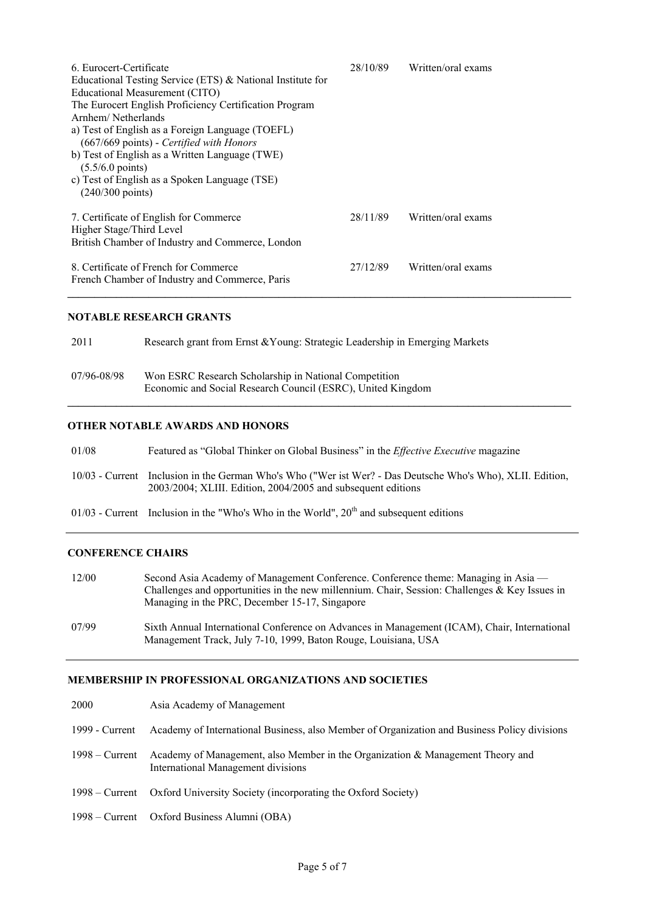| 6. Eurocert-Certificate<br>Educational Testing Service (ETS) & National Institute for<br>Educational Measurement (CITO)<br>The Eurocert English Proficiency Certification Program<br>Arnhem/Netherlands<br>a) Test of English as a Foreign Language (TOEFL)<br>(667/669 points) - Certified with Honors<br>b) Test of English as a Written Language (TWE)<br>$(5.5/6.0 \text{ points})$<br>c) Test of English as a Spoken Language (TSE)<br>$(240/300 \text{ points})$ | 28/10/89 | Written/oral exams |
|------------------------------------------------------------------------------------------------------------------------------------------------------------------------------------------------------------------------------------------------------------------------------------------------------------------------------------------------------------------------------------------------------------------------------------------------------------------------|----------|--------------------|
| 7. Certificate of English for Commerce<br>Higher Stage/Third Level<br>British Chamber of Industry and Commerce, London                                                                                                                                                                                                                                                                                                                                                 | 28/11/89 | Written/oral exams |
| 8. Certificate of French for Commerce<br>French Chamber of Industry and Commerce, Paris                                                                                                                                                                                                                                                                                                                                                                                | 27/12/89 | Written/oral exams |

# **NOTABLE RESEARCH GRANTS**

| 2011        | Research grant from Ernst & Young: Strategic Leadership in Emerging Markets                                          |
|-------------|----------------------------------------------------------------------------------------------------------------------|
| 07/96-08/98 | Won ESRC Research Scholarship in National Competition<br>Economic and Social Research Council (ESRC), United Kingdom |

#### **OTHER NOTABLE AWARDS AND HONORS**

- 01/08 Featured as "Global Thinker on Global Business" in the *Effective Executive* magazine
- 10/03 Current Inclusion in the German Who's Who ("Wer ist Wer? Das Deutsche Who's Who), XLII. Edition, 2003/2004; XLIII. Edition, 2004/2005 and subsequent editions
- $01/03$  Current Inclusion in the "Who's Who in the World",  $20<sup>th</sup>$  and subsequent editions

#### **CONFERENCE CHAIRS**

- 12/00 Second Asia Academy of Management Conference. Conference theme: Managing in Asia Challenges and opportunities in the new millennium. Chair, Session: Challenges & Key Issues in Managing in the PRC, December 15-17, Singapore
- 07/99 Sixth Annual International Conference on Advances in Management (ICAM), Chair, International Management Track, July 7-10, 1999, Baton Rouge, Louisiana, USA

#### **MEMBERSHIP IN PROFESSIONAL ORGANIZATIONS AND SOCIETIES**

| 2000             | Asia Academy of Management                                                                                           |
|------------------|----------------------------------------------------------------------------------------------------------------------|
| 1999 - Current   | Academy of International Business, also Member of Organization and Business Policy divisions                         |
| $1998 -$ Current | Academy of Management, also Member in the Organization & Management Theory and<br>International Management divisions |
|                  | 1998 – Current Oxford University Society (incorporating the Oxford Society)                                          |
|                  | 1998 – Current Oxford Business Alumni (OBA)                                                                          |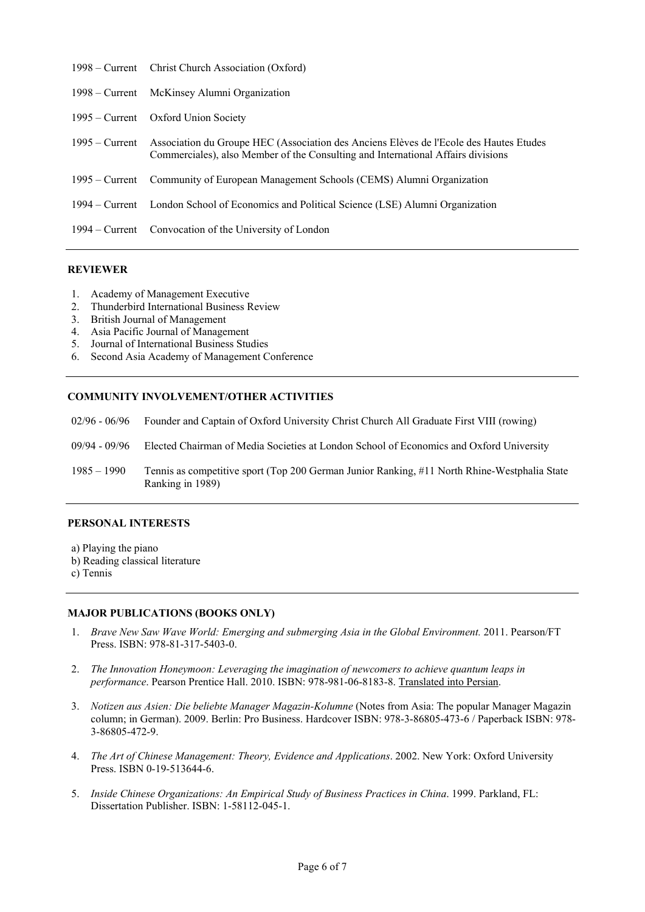|                  | 1998 – Current Christ Church Association (Oxford)                                                                                                                          |
|------------------|----------------------------------------------------------------------------------------------------------------------------------------------------------------------------|
|                  | 1998 – Current McKinsey Alumni Organization                                                                                                                                |
|                  | 1995 – Current Oxford Union Society                                                                                                                                        |
| $1995 -$ Current | Association du Groupe HEC (Association des Anciens Elèves de l'Ecole des Hautes Etudes<br>Commerciales), also Member of the Consulting and International Affairs divisions |
|                  | 1995 – Current Community of European Management Schools (CEMS) Alumni Organization                                                                                         |
|                  | 1994 – Current London School of Economics and Political Science (LSE) Alumni Organization                                                                                  |
|                  | 1994 – Current Convocation of the University of London                                                                                                                     |

## **REVIEWER**

- 1. Academy of Management Executive
- 2. Thunderbird International Business Review
- 3. British Journal of Management
- 4. Asia Pacific Journal of Management
- 5. Journal of International Business Studies
- 6. Second Asia Academy of Management Conference

## **COMMUNITY INVOLVEMENT/OTHER ACTIVITIES**

- 02/96 06/96 Founder and Captain of Oxford University Christ Church All Graduate First VIII (rowing)
- 09/94 09/96 Elected Chairman of Media Societies at London School of Economics and Oxford University
- 1985 1990 Tennis as competitive sport (Top 200 German Junior Ranking, #11 North Rhine-Westphalia State Ranking in 1989)

### **PERSONAL INTERESTS**

- a) Playing the piano
- b) Reading classical literature
- c) Tennis

#### **MAJOR PUBLICATIONS (BOOKS ONLY)**

- 1. *Brave New Saw Wave World: Emerging and submerging Asia in the Global Environment.* 2011. Pearson/FT Press. ISBN: 978-81-317-5403-0.
- 2. *The Innovation Honeymoon: Leveraging the imagination of newcomers to achieve quantum leaps in performance*. Pearson Prentice Hall. 2010. ISBN: 978-981-06-8183-8. Translated into Persian.
- 3. *Notizen aus Asien: Die beliebte Manager Magazin-Kolumne* (Notes from Asia: The popular Manager Magazin column; in German). 2009. Berlin: Pro Business. Hardcover ISBN: 978-3-86805-473-6 / Paperback ISBN: 978- 3-86805-472-9.
- 4. *The Art of Chinese Management: Theory, Evidence and Applications*. 2002. New York: Oxford University Press. ISBN 0-19-513644-6.
- 5. *Inside Chinese Organizations: An Empirical Study of Business Practices in China*. 1999. Parkland, FL: Dissertation Publisher. ISBN: 1-58112-045-1.